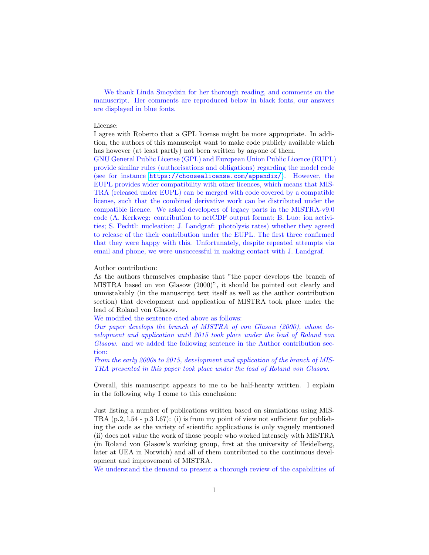We thank Linda Smoydzin for her thorough reading, and comments on the manuscript. Her comments are reproduced below in black fonts, our answers are displayed in blue fonts.

## License:

I agree with Roberto that a GPL license might be more appropriate. In addition, the authors of this manuscript want to make code publicly available which has however (at least partly) not been written by anyone of them.

GNU General Public License (GPL) and European Union Public Licence (EUPL) provide similar rules (authorisations and obligations) regarding the model code (see for instance <https://choosealicense.com/appendix/>). However, the EUPL provides wider compatibility with other licences, which means that MIS-TRA (released under EUPL) can be merged with code covered by a compatible license, such that the combined derivative work can be distributed under the compatible licence. We asked developers of legacy parts in the MISTRA-v9.0 code (A. Kerkweg: contribution to netCDF output format; B. Luo: ion activities; S. Pechtl: nucleation; J. Landgraf: photolysis rates) whether they agreed to release of the their contribution under the EUPL. The first three confirmed that they were happy with this. Unfortunately, despite repeated attempts via email and phone, we were unsuccessful in making contact with J. Landgraf.

## Author contribution:

As the authors themselves emphasise that "the paper develops the branch of MISTRA based on von Glasow (2000)", it should be pointed out clearly and unmistakably (in the manuscript text itself as well as the author contribution section) that development and application of MISTRA took place under the lead of Roland von Glasow.

We modified the sentence cited above as follows:

Our paper develops the branch of MISTRA of von Glasow (2000), whose development and application until 2015 took place under the lead of Roland von Glasow. and we added the following sentence in the Author contribution section:

From the early 2000s to 2015, development and application of the branch of MIS-TRA presented in this paper took place under the lead of Roland von Glasow.

Overall, this manuscript appears to me to be half-hearty written. I explain in the following why I come to this conclusion:

Just listing a number of publications written based on simulations using MIS-TRA (p.2, l.54 - p.3 l.67): (i) is from my point of view not sufficient for publishing the code as the variety of scientific applications is only vaguely mentioned (ii) does not value the work of those people who worked intensely with MISTRA (in Roland von Glasow's working group, first at the university of Heidelberg, later at UEA in Norwich) and all of them contributed to the continuous development and improvement of MISTRA.

We understand the demand to present a thorough review of the capabilities of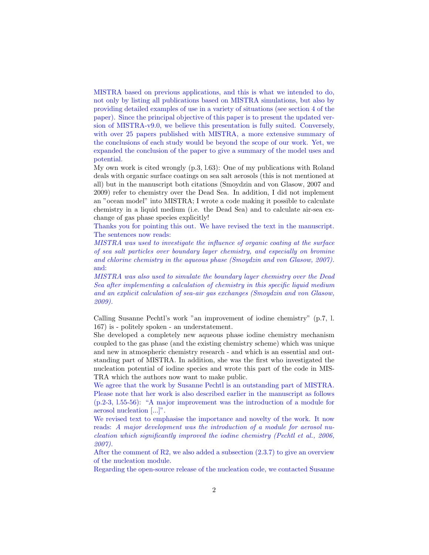MISTRA based on previous applications, and this is what we intended to do, not only by listing all publications based on MISTRA simulations, but also by providing detailed examples of use in a variety of situations (see section 4 of the paper). Since the principal objective of this paper is to present the updated version of MISTRA-v9.0, we believe this presentation is fully suited. Conversely, with over 25 papers published with MISTRA, a more extensive summary of the conclusions of each study would be beyond the scope of our work. Yet, we expanded the conclusion of the paper to give a summary of the model uses and potential.

My own work is cited wrongly (p.3, l.63): One of my publications with Roland deals with organic surface coatings on sea salt aerosols (this is not mentioned at all) but in the manuscript both citations (Smoydzin and von Glasow, 2007 and 2009) refer to chemistry over the Dead Sea. In addition, I did not implement an "ocean model" into MISTRA; I wrote a code making it possible to calculate chemistry in a liquid medium (i.e. the Dead Sea) and to calculate air-sea exchange of gas phase species explicitly!

Thanks you for pointing this out. We have revised the text in the manuscript. The sentences now reads:

MISTRA was used to investigate the influence of organic coating at the surface of sea salt particles over boundary layer chemistry, and especially on bromine and chlorine chemistry in the aqueous phase (Smoydzin and von Glasow, 2007). and:

MISTRA was also used to simulate the boundary layer chemistry over the Dead Sea after implementing a calculation of chemistry in this specific liquid medium and an explicit calculation of sea-air gas exchanges (Smoydzin and von Glasow, 2009).

Calling Susanne Pechtl's work "an improvement of iodine chemistry" (p.7, l. 167) is - politely spoken - an understatement.

She developed a completely new aqueous phase iodine chemistry mechanism coupled to the gas phase (and the existing chemistry scheme) which was unique and new in atmospheric chemistry research - and which is an essential and outstanding part of MISTRA. In addition, she was the first who investigated the nucleation potential of iodine species and wrote this part of the code in MIS-TRA which the authors now want to make public.

We agree that the work by Susanne Pechtl is an outstanding part of MISTRA. Please note that her work is also described earlier in the manuscript as follows (p.2-3, l.55-56): "A major improvement was the introduction of a module for aerosol nucleation [...]".

We revised text to emphasise the importance and novelty of the work. It now reads: A major development was the introduction of a module for aerosol nucleation which significantly improved the iodine chemistry (Pechtl et al., 2006, 2007).

After the comment of R2, we also added a subsection  $(2.3.7)$  to give an overview of the nucleation module.

Regarding the open-source release of the nucleation code, we contacted Susanne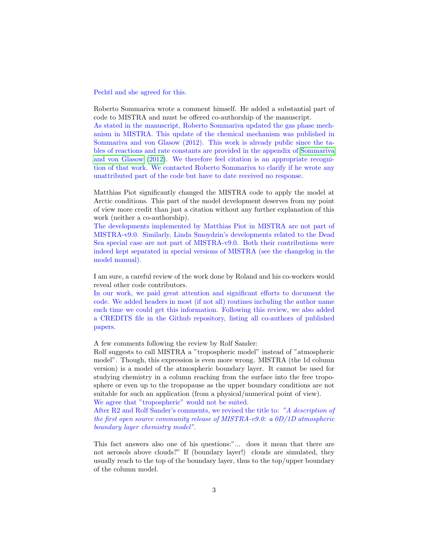Pechtl and she agreed for this.

Roberto Sommariva wrote a comment himself. He added a substantial part of code to MISTRA and must be offered co-authorship of the manuscript. As stated in the manuscript, Roberto Sommariva updated the gas phase mechanism in MISTRA. This update of the chemical mechanism was published in Sommariva and von Glasow (2012). This work is already public since the tables of reactions and rate constants are provided in the appendix of [Sommariva](#page-3-0) [and von Glasow](#page-3-0) [\(2012\)](#page-3-0). We therefore feel citation is an appropriate recognition of that work. We contacted Roberto Sommariva to clarify if he wrote any unattributed part of the code but have to date received no response.

Matthias Piot significantly changed the MISTRA code to apply the model at Arctic conditions. This part of the model development deserves from my point of view more credit than just a citation without any further explanation of this work (neither a co-authorship).

The developments implemented by Matthias Piot in MISTRA are not part of MISTRA-v9.0. Similarly, Linda Smoydzin's developments related to the Dead Sea special case are not part of MISTRA-v9.0. Both their contributions were indeed kept separated in special versions of MISTRA (see the changelog in the model manual).

I am sure, a careful review of the work done by Roland and his co-workers would reveal other code contributors.

In our work, we paid great attention and significant efforts to document the code. We added headers in most (if not all) routines including the author name each time we could get this information. Following this review, we also added a CREDITS file in the Github repository, listing all co-authors of published papers.

A few comments following the review by Rolf Sander:

Rolf suggests to call MISTRA a "tropospheric model" instead of "atmospheric model". Though, this expression is even more wrong. MISTRA (the 1d column version) is a model of the atmospheric boundary layer. It cannot be used for studying chemistry in a column reaching from the surface into the free troposphere or even up to the tropopause as the upper boundary conditions are not suitable for such an application (from a physical/numerical point of view). We agree that "tropospheric" would not be suited.

After R2 and Rolf Sander's comments, we revised the title to: "A description of the first open source community release of MISTRA-v9.0: a 0D/1D atmospheric boundary layer chemistry model".

This fact answers also one of his questions:"... does it mean that there are not aerosols above clouds?" If (boundary layer!) clouds are simulated, they usually reach to the top of the boundary layer, thus to the top/upper boundary of the column model.